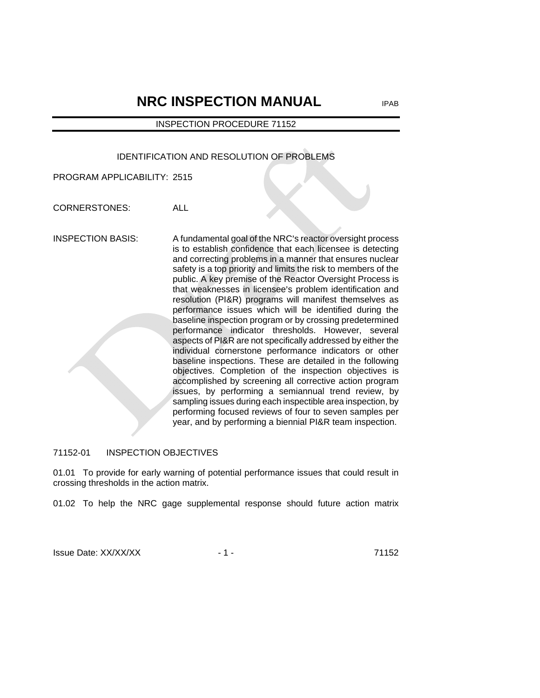# **NRC INSPECTION MANUAL** IPAB

# INSPECTION PROCEDURE 71152

# IDENTIFICATION AND RESOLUTION OF PROBLEMS

PROGRAM APPLICABILITY: 2515

CORNERSTONES: ALL

INSPECTION BASIS: A fundamental goal of the NRC's reactor oversight process is to establish confidence that each licensee is detecting and correcting problems in a manner that ensures nuclear safety is a top priority and limits the risk to members of the public. A key premise of the Reactor Oversight Process is that weaknesses in licensee's problem identification and resolution (PI&R) programs will manifest themselves as performance issues which will be identified during the baseline inspection program or by crossing predetermined performance indicator thresholds. However, several aspects of PI&R are not specifically addressed by either the individual cornerstone performance indicators or other baseline inspections. These are detailed in the following objectives. Completion of the inspection objectives is accomplished by screening all corrective action program issues, by performing a semiannual trend review, by sampling issues during each inspectible area inspection, by performing focused reviews of four to seven samples per year, and by performing a biennial PI&R team inspection.

# 71152-01 INSPECTION OBJECTIVES

01.01 To provide for early warning of potential performance issues that could result in crossing thresholds in the action matrix.

01.02 To help the NRC gage supplemental response should future action matrix

Issue Date: XX/XX/XX - 1 - 71152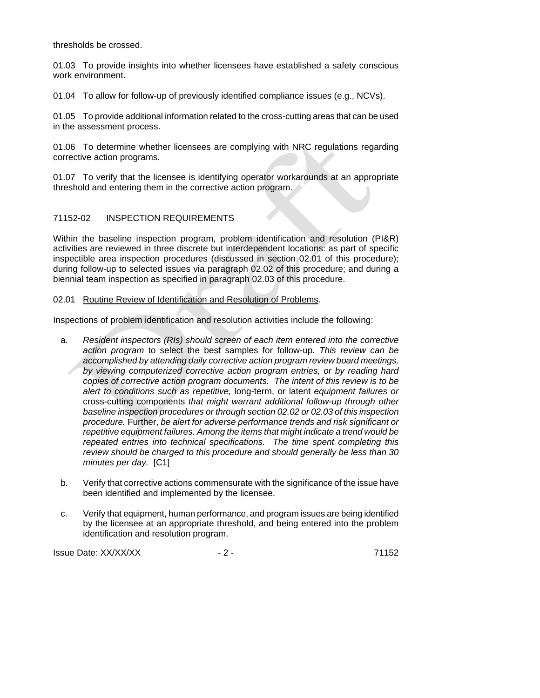thresholds be crossed.

01.03 To provide insights into whether licensees have established a safety conscious work environment.

01.04 To allow for follow-up of previously identified compliance issues (e.g., NCVs).

01.05 To provide additional information related to the cross-cutting areas that can be used in the assessment process.

01.06 To determine whether licensees are complying with NRC regulations regarding corrective action programs.

01.07 To verify that the licensee is identifying operator workarounds at an appropriate threshold and entering them in the corrective action program.

# 71152-02 INSPECTION REQUIREMENTS

Within the baseline inspection program, problem identification and resolution (PI&R) activities are reviewed in three discrete but interdependent locations: as part of specific inspectible area inspection procedures (discussed in section 02.01 of this procedure); during follow-up to selected issues via paragraph 02.02 of this procedure; and during a biennial team inspection as specified in paragraph 02.03 of this procedure.

# 02.01 Routine Review of Identification and Resolution of Problems.

Inspections of problem identification and resolution activities include the following:

- a. *Resident inspectors (RIs) should screen of each item entered into the corrective action program* to select the best samples for follow-up*. This review can be accomplished by attending daily corrective action program review board meetings, by viewing computerized corrective action program entries, or by reading hard copies of corrective action program documents. The intent of this review is to be alert to conditions such as repetitive,* long-term, or latent *equipment failures or*  cross-cutting components *that might warrant additional follow-up through other baseline inspection procedures or through section 02.02 or 02.03 of this inspection procedure.* Further, *be alert for adverse performance trends and risk significant or repetitive equipment failures. Among the items that might indicate a trend would be repeated entries into technical specifications. The time spent completing this review should be charged to this procedure and should generally be less than 30 minutes per day.* [C1]
- b. Verify that corrective actions commensurate with the significance of the issue have been identified and implemented by the licensee.
- c. Verify that equipment, human performance, and program issues are being identified by the licensee at an appropriate threshold, and being entered into the problem identification and resolution program.

Issue Date: XX/XX/XX - 2 - 71152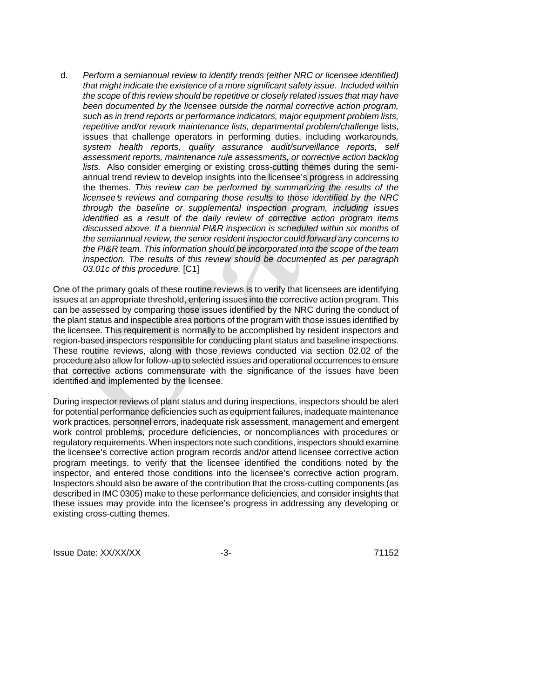d. *Perform a semiannual review to identify trends (either NRC or licensee identified) that might indicate the existence of a more significant safety issue. Included within the scope of this review should be repetitive or closely related issues that may have been documented by the licensee outside the normal corrective action program, such as in trend reports or performance indicators, major equipment problem lists,*  repetitive and/or rework maintenance lists, departmental problem/challenge lists, issues that challenge operators in performing duties, including workarounds*, system health reports, quality assurance audit/surveillance reports, self assessment reports, maintenance rule assessments, or corrective action backlog lists.* Also consider emerging or existing cross-cutting themes during the semiannual trend review to develop insights into the licensee's progress in addressing the themes. *This review can be performed by summarizing the results of the licensee*'s reviews and comparing those results to those identified by the NRC *through the baseline or supplemental inspection program, including issues identified as a result of the daily review of corrective action program items discussed above. If a biennial PI&R inspection is scheduled within six months of the semiannual review, the senior resident inspector could forward any concerns to the PI&R team. This information should be incorporated into the scope of the team inspection. The results of this review should be documented as per paragraph 03.01c of this procedure.* [C1]

One of the primary goals of these routine reviews is to verify that licensees are identifying issues at an appropriate threshold, entering issues into the corrective action program. This can be assessed by comparing those issues identified by the NRC during the conduct of the plant status and inspectible area portions of the program with those issues identified by the licensee. This requirement is normally to be accomplished by resident inspectors and region-based inspectors responsible for conducting plant status and baseline inspections. These routine reviews, along with those reviews conducted via section 02.02 of the procedure also allow for follow-up to selected issues and operational occurrences to ensure that corrective actions commensurate with the significance of the issues have been identified and implemented by the licensee.

During inspector reviews of plant status and during inspections, inspectors should be alert for potential performance deficiencies such as equipment failures, inadequate maintenance work practices, personnel errors, inadequate risk assessment, management and emergent work control problems, procedure deficiencies, or noncompliances with procedures or regulatory requirements. When inspectors note such conditions, inspectors should examine the licensee's corrective action program records and/or attend licensee corrective action program meetings, to verify that the licensee identified the conditions noted by the inspector, and entered those conditions into the licensee's corrective action program. Inspectors should also be aware of the contribution that the cross-cutting components (as described in IMC 0305) make to these performance deficiencies, and consider insights that these issues may provide into the licensee's progress in addressing any developing or existing cross-cutting themes.

Issue Date: XX/XX/XX -3- 71152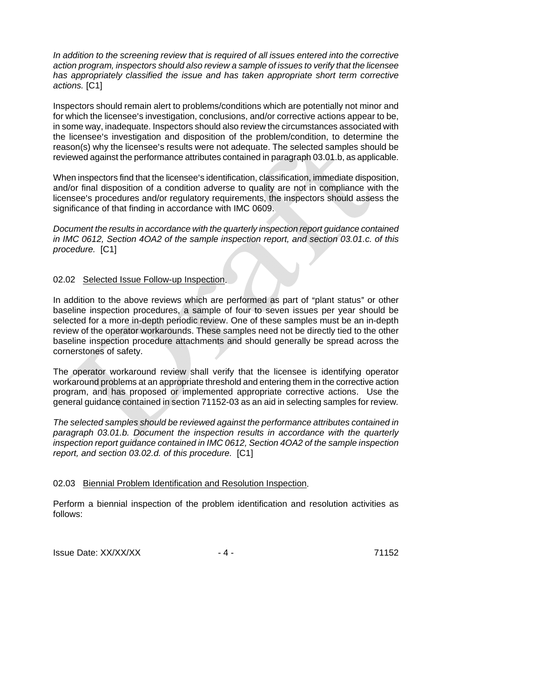In addition to the screening review that is required of all issues entered into the corrective *action program, inspectors should also review a sample of issues to verify that the licensee*  has appropriately classified the issue and has taken appropriate short term corrective *actions.* [C1]

Inspectors should remain alert to problems/conditions which are potentially not minor and for which the licensee's investigation, conclusions, and/or corrective actions appear to be, in some way, inadequate. Inspectors should also review the circumstances associated with the licensee's investigation and disposition of the problem/condition, to determine the  $reason(s)$  why the licensee's results were not adequate. The selected samples should be reviewed against the performance attributes contained in paragraph 03.01.b, as applicable.

When inspectors find that the licensee's identification, classification, immediate disposition, and/or final disposition of a condition adverse to quality are not in compliance with the licensee's procedures and/or regulatory requirements, the inspectors should assess the significance of that finding in accordance with IMC 0609.

*Document the results in accordance with the quarterly inspection report guidance contained in IMC 0612, Section 4OA2 of the sample inspection report, and section 03.01.c. of this procedure.* [C1]

# 02.02 Selected Issue Follow-up Inspection.

In addition to the above reviews which are performed as part of "plant status" or other baseline inspection procedures, a sample of four to seven issues per year should be selected for a more in-depth periodic review. One of these samples must be an in-depth review of the operator workarounds. These samples need not be directly tied to the other baseline inspection procedure attachments and should generally be spread across the cornerstones of safety.

The operator workaround review shall verify that the licensee is identifying operator workaround problems at an appropriate threshold and entering them in the corrective action program, and has proposed or implemented appropriate corrective actions. Use the general guidance contained in section 71152-03 as an aid in selecting samples for review*.* 

*The selected samples should be reviewed against the performance attributes contained in paragraph 03.01.b. Document the inspection results in accordance with the quarterly inspection report guidance contained in IMC 0612, Section 4OA2 of the sample inspection report, and section 03.02.d. of this procedure.* [C1]

# 02.03 Biennial Problem Identification and Resolution Inspection.

Perform a biennial inspection of the problem identification and resolution activities as follows:

Issue Date: XX/XX/XX - 4 - 71152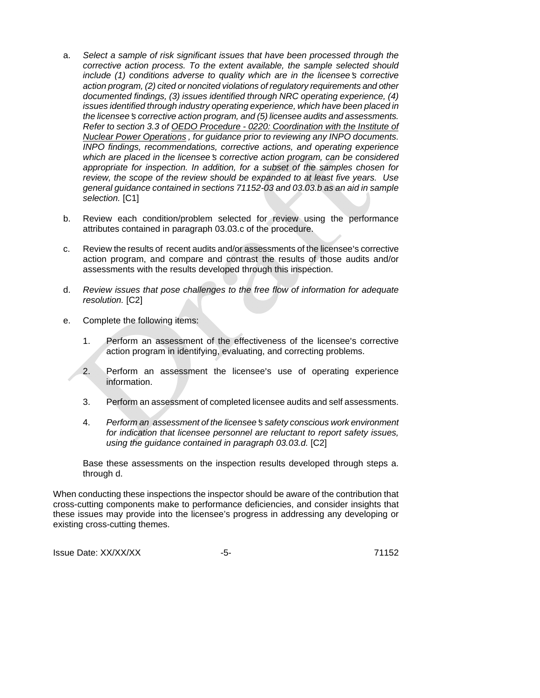- a. *Select a sample of risk significant issues that have been processed through the corrective action process. To the extent available, the sample selected should include* (1) conditions adverse to quality which are in the licensee's corrective *action program, (2) cited or noncited violations of regulatory requirements and other documented findings, (3) issues identified through NRC operating experience, (4) issues identified through industry operating experience, which have been placed in the licensee*=*s corrective action program, and (5) licensee audits and assessments. Refer to section 3.3 of OEDO Procedure - 0220: Coordination with the Institute of Nuclear Power Operations , for guidance prior to reviewing any INPO documents. INPO findings, recommendations, corrective actions, and operating experience which are placed in the licensee's corrective action program, can be considered appropriate for inspection. In addition, for a subset of the samples chosen for review, the scope of the review should be expanded to at least five years. Use general guidance contained in sections 71152-03 and 03.03.b as an aid in sample selection.* [C1]
- b. Review each condition/problem selected for review using the performance attributes contained in paragraph 03.03.c of the procedure.
- c. Review the results of recent audits and/or assessments of the licensee's corrective action program, and compare and contrast the results of those audits and/or assessments with the results developed through this inspection.
- d. *Review issues that pose challenges to the free flow of information for adequate resolution.* [C2]
- e. Complete the following items:
	- 1. Perform an assessment of the effectiveness of the licensee's corrective action program in identifying, evaluating, and correcting problems.
	- 2. Perform an assessment the licensee's use of operating experience information.
	- 3. Perform an assessment of completed licensee audits and self assessments.
	- 4. *Perform an assessment of the licensee*=*s safety conscious work environment for indication that licensee personnel are reluctant to report safety issues, using the guidance contained in paragraph 03.03.d.* [C2]

Base these assessments on the inspection results developed through steps a. through d.

When conducting these inspections the inspector should be aware of the contribution that cross-cutting components make to performance deficiencies, and consider insights that these issues may provide into the licensee's progress in addressing any developing or existing cross-cutting themes.

Issue Date: XX/XX/XX -5- 71152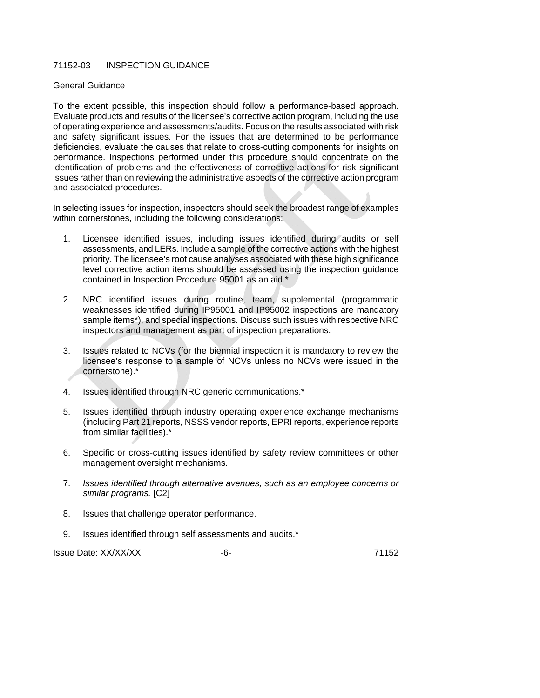# 71152-03 INSPECTION GUIDANCE

#### General Guidance

To the extent possible, this inspection should follow a performance-based approach. Evaluate products and results of the licensee's corrective action program, including the use of operating experience and assessments/audits. Focus on the results associated with risk and safety significant issues. For the issues that are determined to be performance deficiencies, evaluate the causes that relate to cross-cutting components for insights on performance. Inspections performed under this procedure should concentrate on the identification of problems and the effectiveness of corrective actions for risk significant issues rather than on reviewing the administrative aspects of the corrective action program and associated procedures.

In selecting issues for inspection, inspectors should seek the broadest range of examples within cornerstones, including the following considerations:

- 1. Licensee identified issues, including issues identified during audits or self assessments, and LERs. Include a sample of the corrective actions with the highest priority. The licensee's root cause analyses associated with these high significance level corrective action items should be assessed using the inspection guidance contained in Inspection Procedure 95001 as an aid.\*
- 2. NRC identified issues during routine, team, supplemental (programmatic weaknesses identified during IP95001 and IP95002 inspections are mandatory sample items\*), and special inspections. Discuss such issues with respective NRC inspectors and management as part of inspection preparations.
- 3. Issues related to NCVs (for the biennial inspection it is mandatory to review the licensee's response to a sample of NCVs unless no NCVs were issued in the cornerstone).\*
- 4. Issues identified through NRC generic communications.\*
- 5. Issues identified through industry operating experience exchange mechanisms (including Part 21 reports, NSSS vendor reports, EPRI reports, experience reports from similar facilities).\*
- 6. Specific or cross-cutting issues identified by safety review committees or other management oversight mechanisms.
- 7. *Issues identified through alternative avenues, such as an employee concerns or similar programs.* [C2]
- 8. Issues that challenge operator performance.
- 9. Issues identified through self assessments and audits.\*

Issue Date: XX/XX/XX  $-6$ - 71152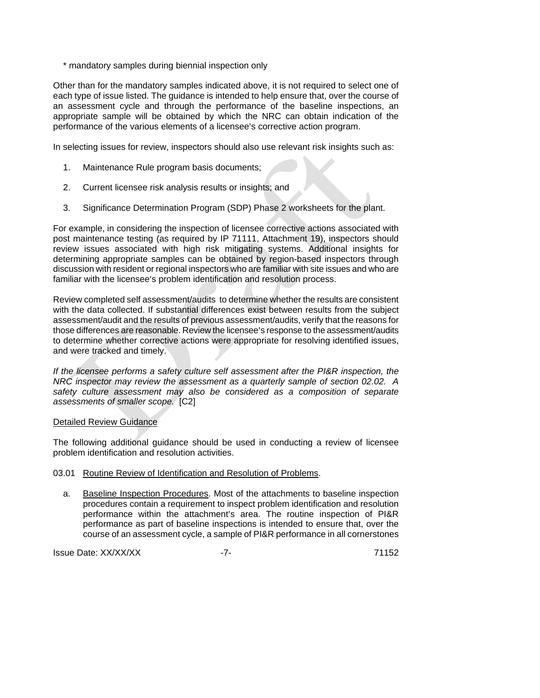\* mandatory samples during biennial inspection only

Other than for the mandatory samples indicated above, it is not required to select one of each type of issue listed. The guidance is intended to help ensure that, over the course of an assessment cycle and through the performance of the baseline inspections, an appropriate sample will be obtained by which the NRC can obtain indication of the performance of the various elements of a licensee's corrective action program.

In selecting issues for review, inspectors should also use relevant risk insights such as:

- 1. Maintenance Rule program basis documents;
- 2. Current licensee risk analysis results or insights; and
- 3. Significance Determination Program (SDP) Phase 2 worksheets for the plant.

For example, in considering the inspection of licensee corrective actions associated with post maintenance testing (as required by IP 71111, Attachment 19), inspectors should review issues associated with high risk mitigating systems. Additional insights for determining appropriate samples can be obtained by region-based inspectors through discussion with resident or regional inspectors who are familiar with site issues and who are familiar with the licensee's problem identification and resolution process.

Review completed self assessment/audits to determine whether the results are consistent with the data collected. If substantial differences exist between results from the subject assessment/audit and the results of previous assessment/audits, verify that the reasons for those differences are reasonable. Review the licensee's response to the assessment/audits to determine whether corrective actions were appropriate for resolving identified issues, and were tracked and timely.

*If the licensee performs a safety culture self assessment after the PI&R inspection, the NRC inspector may review the assessment as a quarterly sample of section 02.02. A*  safety culture assessment may also be considered as a composition of separate *assessments of smaller scope.* [C2]

#### Detailed Review Guidance

The following additional guidance should be used in conducting a review of licensee problem identification and resolution activities.

#### 03.01 Routine Review of Identification and Resolution of Problems.

a. Baseline Inspection Procedures. Most of the attachments to baseline inspection procedures contain a requirement to inspect problem identification and resolution performance within the attachment's area. The routine inspection of PI&R performance as part of baseline inspections is intended to ensure that, over the course of an assessment cycle, a sample of PI&R performance in all cornerstones

**Issue Date: XX/XX/XX -7-** 71152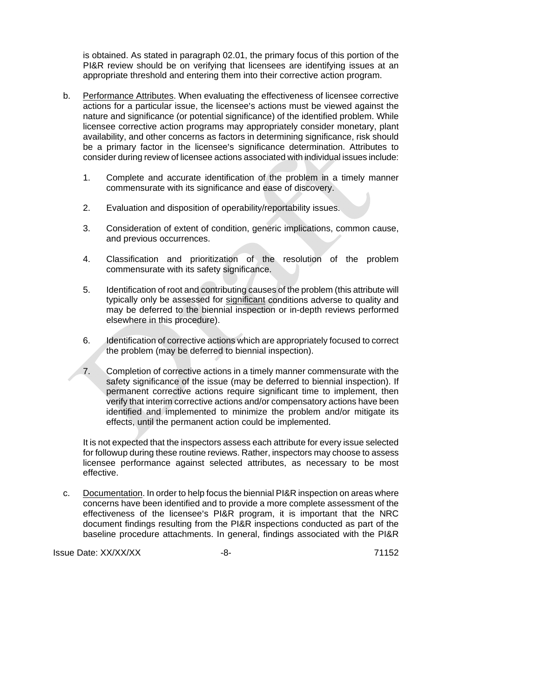is obtained. As stated in paragraph 02.01, the primary focus of this portion of the PI&R review should be on verifying that licensees are identifying issues at an appropriate threshold and entering them into their corrective action program.

- b. Performance Attributes. When evaluating the effectiveness of licensee corrective actions for a particular issue, the licensee's actions must be viewed against the nature and significance (or potential significance) of the identified problem. While licensee corrective action programs may appropriately consider monetary, plant availability, and other concerns as factors in determining significance, risk should be a primary factor in the licensee's significance determination. Attributes to consider during review of licensee actions associated with individual issues include:
	- 1. Complete and accurate identification of the problem in a timely manner commensurate with its significance and ease of discovery.
	- 2. Evaluation and disposition of operability/reportability issues.
	- 3. Consideration of extent of condition, generic implications, common cause, and previous occurrences.
	- 4. Classification and prioritization of the resolution of the problem commensurate with its safety significance.
	- 5. Identification of root and contributing causes of the problem (this attribute will typically only be assessed for significant conditions adverse to quality and may be deferred to the biennial inspection or in-depth reviews performed elsewhere in this procedure).
	- 6. Identification of corrective actions which are appropriately focused to correct the problem (may be deferred to biennial inspection).
	- 7. Completion of corrective actions in a timely manner commensurate with the safety significance of the issue (may be deferred to biennial inspection). If permanent corrective actions require significant time to implement, then verify that interim corrective actions and/or compensatory actions have been identified and implemented to minimize the problem and/or mitigate its effects, until the permanent action could be implemented.

It is not expected that the inspectors assess each attribute for every issue selected for followup during these routine reviews. Rather, inspectors may choose to assess licensee performance against selected attributes, as necessary to be most effective.

c. Documentation. In order to help focus the biennial PI&R inspection on areas where concerns have been identified and to provide a more complete assessment of the effectiveness of the licensee's PI&R program, it is important that the NRC document findings resulting from the PI&R inspections conducted as part of the baseline procedure attachments. In general, findings associated with the PI&R

Issue Date: XX/XX/XX -8- 71152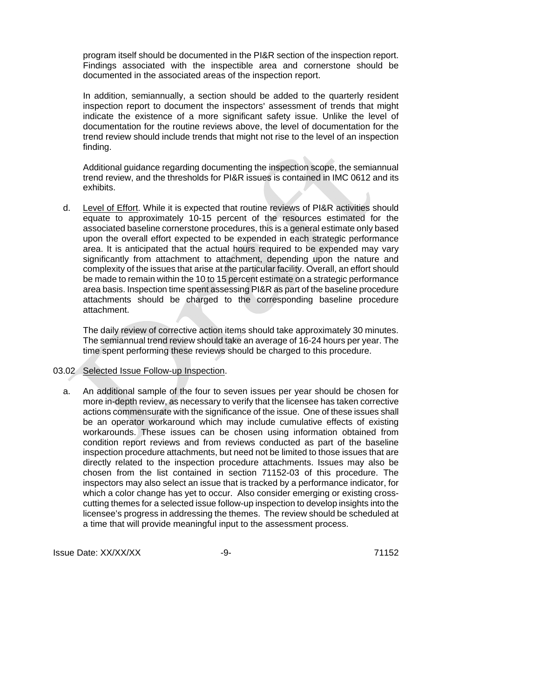program itself should be documented in the PI&R section of the inspection report. Findings associated with the inspectible area and cornerstone should be documented in the associated areas of the inspection report.

In addition, semiannually, a section should be added to the quarterly resident inspection report to document the inspectors' assessment of trends that might indicate the existence of a more significant safety issue. Unlike the level of documentation for the routine reviews above, the level of documentation for the trend review should include trends that might not rise to the level of an inspection finding.

Additional guidance regarding documenting the inspection scope, the semiannual trend review, and the thresholds for PI&R issues is contained in IMC 0612 and its exhibits.

d. Level of Effort. While it is expected that routine reviews of PI&R activities should equate to approximately 10-15 percent of the resources estimated for the associated baseline cornerstone procedures, this is a general estimate only based upon the overall effort expected to be expended in each strategic performance area. It is anticipated that the actual hours required to be expended may vary significantly from attachment to attachment, depending upon the nature and complexity of the issues that arise at the particular facility. Overall, an effort should be made to remain within the 10 to 15 percent estimate on a strategic performance area basis. Inspection time spent assessing PI&R as part of the baseline procedure attachments should be charged to the corresponding baseline procedure attachment.

The daily review of corrective action items should take approximately 30 minutes. The semiannual trend review should take an average of 16-24 hours per year. The time spent performing these reviews should be charged to this procedure.

#### 03.02 Selected Issue Follow-up Inspection.

a. An additional sample of the four to seven issues per year should be chosen for more in-depth review, as necessary to verify that the licensee has taken corrective actions commensurate with the significance of the issue. One of these issues shall be an operator workaround which may include cumulative effects of existing workarounds. These issues can be chosen using information obtained from condition report reviews and from reviews conducted as part of the baseline inspection procedure attachments, but need not be limited to those issues that are directly related to the inspection procedure attachments. Issues may also be chosen from the list contained in section 71152-03 of this procedure. The inspectors may also select an issue that is tracked by a performance indicator, for which a color change has yet to occur. Also consider emerging or existing crosscutting themes for a selected issue follow-up inspection to develop insights into the licensee's progress in addressing the themes. The review should be scheduled at a time that will provide meaningful input to the assessment process.

Issue Date: XX/XX/XX -9- 71152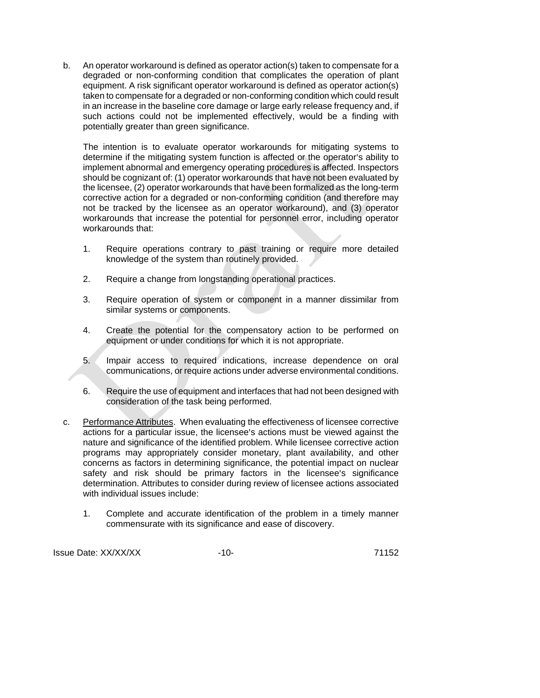b. An operator workaround is defined as operator action(s) taken to compensate for a degraded or non-conforming condition that complicates the operation of plant equipment. A risk significant operator workaround is defined as operator action(s) taken to compensate for a degraded or non-conforming condition which could result in an increase in the baseline core damage or large early release frequency and, if such actions could not be implemented effectively, would be a finding with potentially greater than green significance.

The intention is to evaluate operator workarounds for mitigating systems to determine if the mitigating system function is affected or the operator's ability to implement abnormal and emergency operating procedures is affected. Inspectors should be cognizant of: (1) operator workarounds that have not been evaluated by the licensee, (2) operator workarounds that have been formalized as the long-term corrective action for a degraded or non-conforming condition (and therefore may not be tracked by the licensee as an operator workaround), and (3) operator workarounds that increase the potential for personnel error, including operator workarounds that:

- 1. Require operations contrary to past training or require more detailed knowledge of the system than routinely provided.
- 2. Require a change from longstanding operational practices.
- 3. Require operation of system or component in a manner dissimilar from similar systems or components.
- 4. Create the potential for the compensatory action to be performed on equipment or under conditions for which it is not appropriate.
- 5. Impair access to required indications, increase dependence on oral communications, or require actions under adverse environmental conditions.
- 6. Require the use of equipment and interfaces that had not been designed with consideration of the task being performed.
- c. Performance Attributes. When evaluating the effectiveness of licensee corrective actions for a particular issue, the licensee's actions must be viewed against the nature and significance of the identified problem. While licensee corrective action programs may appropriately consider monetary, plant availability, and other concerns as factors in determining significance, the potential impact on nuclear safety and risk should be primary factors in the licensee's significance determination. Attributes to consider during review of licensee actions associated with individual issues include:
	- 1. Complete and accurate identification of the problem in a timely manner commensurate with its significance and ease of discovery.

Issue Date: XX/XX/XX -10- 71152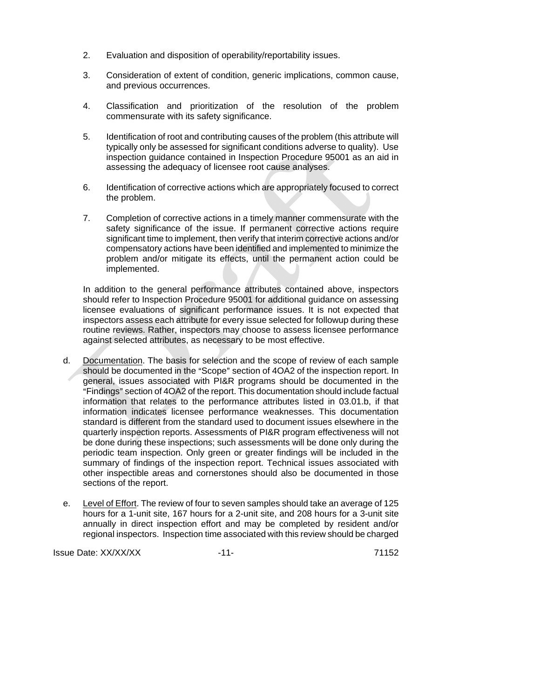- 2. Evaluation and disposition of operability/reportability issues.
- 3. Consideration of extent of condition, generic implications, common cause, and previous occurrences.
- 4. Classification and prioritization of the resolution of the problem commensurate with its safety significance.
- 5. Identification of root and contributing causes of the problem (this attribute will typically only be assessed for significant conditions adverse to quality). Use inspection guidance contained in Inspection Procedure 95001 as an aid in assessing the adequacy of licensee root cause analyses.
- 6. Identification of corrective actions which are appropriately focused to correct the problem.
- 7. Completion of corrective actions in a timely manner commensurate with the safety significance of the issue. If permanent corrective actions require significant time to implement, then verify that interim corrective actions and/or compensatory actions have been identified and implemented to minimize the problem and/or mitigate its effects, until the permanent action could be implemented.

In addition to the general performance attributes contained above, inspectors should refer to Inspection Procedure 95001 for additional guidance on assessing licensee evaluations of significant performance issues. It is not expected that inspectors assess each attribute for every issue selected for followup during these routine reviews. Rather, inspectors may choose to assess licensee performance against selected attributes, as necessary to be most effective.

- d. Documentation. The basis for selection and the scope of review of each sample should be documented in the "Scope" section of 4OA2 of the inspection report. In general, issues associated with PI&R programs should be documented in the "Findings" section of 4OA2 of the report. This documentation should include factual information that relates to the performance attributes listed in 03.01.b, if that information indicates licensee performance weaknesses. This documentation standard is different from the standard used to document issues elsewhere in the quarterly inspection reports. Assessments of PI&R program effectiveness will not be done during these inspections; such assessments will be done only during the periodic team inspection. Only green or greater findings will be included in the summary of findings of the inspection report. Technical issues associated with other inspectible areas and cornerstones should also be documented in those sections of the report.
- e. Level of Effort. The review of four to seven samples should take an average of 125 hours for a 1-unit site, 167 hours for a 2-unit site, and 208 hours for a 3-unit site annually in direct inspection effort and may be completed by resident and/or regional inspectors. Inspection time associated with this review should be charged

Issue Date: XX/XX/XX -11- 71152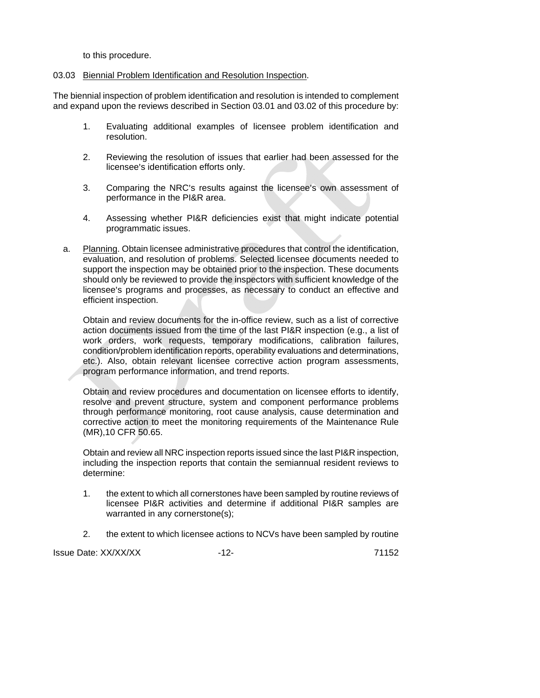to this procedure.

#### 03.03 Biennial Problem Identification and Resolution Inspection.

The biennial inspection of problem identification and resolution is intended to complement and expand upon the reviews described in Section 03.01 and 03.02 of this procedure by:

- 1. Evaluating additional examples of licensee problem identification and resolution.
- 2. Reviewing the resolution of issues that earlier had been assessed for the licensee's identification efforts only.
- 3. Comparing the NRC's results against the licensee's own assessment of performance in the PI&R area.
- 4. Assessing whether PI&R deficiencies exist that might indicate potential programmatic issues.
- a. Planning. Obtain licensee administrative procedures that control the identification, evaluation, and resolution of problems. Selected licensee documents needed to support the inspection may be obtained prior to the inspection. These documents should only be reviewed to provide the inspectors with sufficient knowledge of the licensee's programs and processes, as necessary to conduct an effective and efficient inspection.

Obtain and review documents for the in-office review, such as a list of corrective action documents issued from the time of the last PI&R inspection (e.g., a list of work orders, work requests, temporary modifications, calibration failures, condition/problem identification reports, operability evaluations and determinations, etc.). Also, obtain relevant licensee corrective action program assessments, program performance information, and trend reports.

Obtain and review procedures and documentation on licensee efforts to identify, resolve and prevent structure, system and component performance problems through performance monitoring, root cause analysis, cause determination and corrective action to meet the monitoring requirements of the Maintenance Rule (MR),10 CFR 50.65.

Obtain and review all NRC inspection reports issued since the last PI&R inspection, including the inspection reports that contain the semiannual resident reviews to determine:

- 1. the extent to which all cornerstones have been sampled by routine reviews of licensee PI&R activities and determine if additional PI&R samples are warranted in any cornerstone(s);
- 2. the extent to which licensee actions to NCVs have been sampled by routine

Issue Date: XX/XX/XX -12- 71152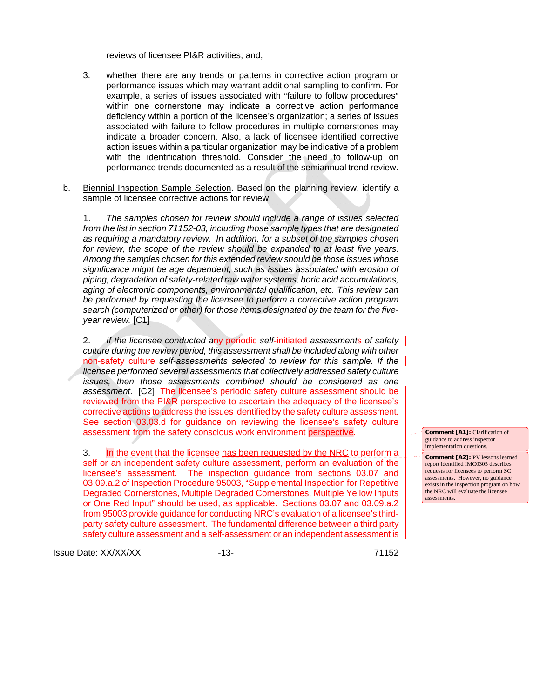reviews of licensee PI&R activities; and,

- 3. whether there are any trends or patterns in corrective action program or performance issues which may warrant additional sampling to confirm. For example, a series of issues associated with "failure to follow procedures" within one cornerstone may indicate a corrective action performance deficiency within a portion of the licensee's organization; a series of issues associated with failure to follow procedures in multiple cornerstones may indicate a broader concern. Also, a lack of licensee identified corrective action issues within a particular organization may be indicative of a problem with the identification threshold. Consider the need to follow-up on performance trends documented as a result of the semiannual trend review.
- b. Biennial Inspection Sample Selection. Based on the planning review, identify a sample of licensee corrective actions for review.

1. *The samples chosen for review should include a range of issues selected from the list in section 71152-03, including those sample types that are designated as requiring a mandatory review. In addition, for a subset of the samples chosen for review, the scope of the review should be expanded to at least five years. Among the samples chosen for this extended review should be those issues whose significance might be age dependent, such as issues associated with erosion of piping, degradation of safety-related raw water systems, boric acid accumulations, aging of electronic components, environmental qualification, etc. This review can be performed by requesting the licensee to perform a corrective action program search (computerized or other) for those items designated by the team for the fiveyear review.* [C1]

2. *If the licensee conducted a*ny periodic *self*-initiated *assessment*s *of safety culture during the review period, this assessment shall be included along with other*  non-safety culture *self-assessments selected to review for this sample. If the licensee performed several assessments that collectively addressed safety culture issues, then those assessments combined should be considered as one assessment.* [C2] The licensee's periodic safety culture assessment should be reviewed from the PI&R perspective to ascertain the adequacy of the licensee's corrective actions to address the issues identified by the safety culture assessment. See section 03.03.d for guidance on reviewing the licensee's safety culture assessment from the safety conscious work environment perspective.

3. **In** the event that the licensee has been requested by the NRC to perform a self or an independent safety culture assessment, perform an evaluation of the licensee's assessment. The inspection guidance from sections 03.07 and 03.09.a.2 of Inspection Procedure 95003, "Supplemental Inspection for Repetitive Degraded Cornerstones, Multiple Degraded Cornerstones, Multiple Yellow Inputs or One Red Input" should be used, as applicable. Sections 03.07 and 03.09.a.2 from 95003 provide guidance for conducting NRC's evaluation of a licensee's thirdparty safety culture assessment. The fundamental difference between a third party safety culture assessment and a self-assessment or an independent assessment is

Issue Date: XX/XX/XX -13- 71152

**Comment [A1]:** Clarification of guidance to address inspector implementation questions.

**Comment [A2]:** PV lessons learned report identified IMC0305 describes requests for licensees to perform SC assessments. However, no guidance exists in the inspection program on how the NRC will evaluate the licensee assessments.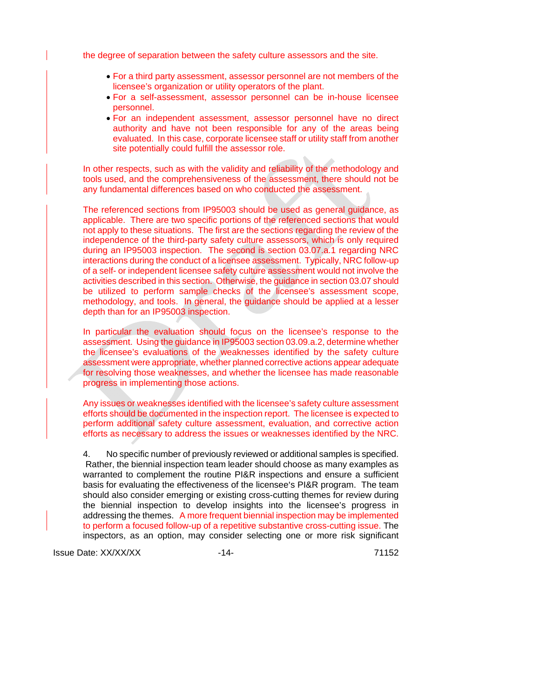the degree of separation between the safety culture assessors and the site.

- For a third party assessment, assessor personnel are not members of the licensee's organization or utility operators of the plant.
- For a self-assessment, assessor personnel can be in-house licensee personnel.
- For an independent assessment, assessor personnel have no direct authority and have not been responsible for any of the areas being evaluated. In this case, corporate licensee staff or utility staff from another site potentially could fulfill the assessor role.

In other respects, such as with the validity and reliability of the methodology and tools used, and the comprehensiveness of the assessment, there should not be any fundamental differences based on who conducted the assessment.

The referenced sections from IP95003 should be used as general guidance, as applicable. There are two specific portions of the referenced sections that would not apply to these situations. The first are the sections regarding the review of the independence of the third-party safety culture assessors, which is only required during an IP95003 inspection. The second is section 03.07.a.1 regarding NRC interactions during the conduct of a licensee assessment. Typically, NRC follow-up of a self- or independent licensee safety culture assessment would not involve the activities described in this section. Otherwise, the guidance in section 03.07 should be utilized to perform sample checks of the licensee's assessment scope, methodology, and tools. In general, the guidance should be applied at a lesser depth than for an IP95003 inspection.

In particular the evaluation should focus on the licensee's response to the assessment. Using the guidance in IP95003 section 03.09.a.2, determine whether the licensee's evaluations of the weaknesses identified by the safety culture assessment were appropriate, whether planned corrective actions appear adequate for resolving those weaknesses, and whether the licensee has made reasonable progress in implementing those actions.

Any issues or weaknesses identified with the licensee's safety culture assessment efforts should be documented in the inspection report. The licensee is expected to perform additional safety culture assessment, evaluation, and corrective action efforts as necessary to address the issues or weaknesses identified by the NRC.

4. No specific number of previously reviewed or additional samples is specified. Rather, the biennial inspection team leader should choose as many examples as warranted to complement the routine PI&R inspections and ensure a sufficient basis for evaluating the effectiveness of the licensee's PI&R program. The team should also consider emerging or existing cross-cutting themes for review during the biennial inspection to develop insights into the licensee's progress in addressing the themes. A more frequent biennial inspection may be implemented to perform a focused follow-up of a repetitive substantive cross-cutting issue. The inspectors, as an option, may consider selecting one or more risk significant

Issue Date: XX/XX/XX -14- 71152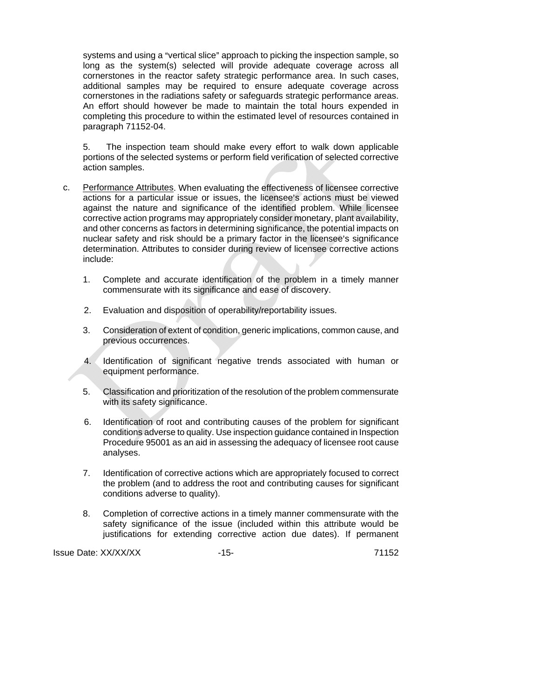systems and using a "vertical slice" approach to picking the inspection sample, so long as the system(s) selected will provide adequate coverage across all cornerstones in the reactor safety strategic performance area. In such cases, additional samples may be required to ensure adequate coverage across cornerstones in the radiations safety or safeguards strategic performance areas. An effort should however be made to maintain the total hours expended in completing this procedure to within the estimated level of resources contained in paragraph 71152-04.

5. The inspection team should make every effort to walk down applicable portions of the selected systems or perform field verification of selected corrective action samples.

- c. Performance Attributes. When evaluating the effectiveness of licensee corrective actions for a particular issue or issues, the licensee's actions must be viewed against the nature and significance of the identified problem. While licensee corrective action programs may appropriately consider monetary, plant availability, and other concerns as factors in determining significance, the potential impacts on nuclear safety and risk should be a primary factor in the licensee's significance determination. Attributes to consider during review of licensee corrective actions include:
	- 1. Complete and accurate identification of the problem in a timely manner commensurate with its significance and ease of discovery.
	- 2. Evaluation and disposition of operability/reportability issues.
	- 3. Consideration of extent of condition, generic implications, common cause, and previous occurrences.
	- 4. Identification of significant negative trends associated with human or equipment performance.
	- 5. Classification and prioritization of the resolution of the problem commensurate with its safety significance.
	- 6. Identification of root and contributing causes of the problem for significant conditions adverse to quality. Use inspection guidance contained in Inspection Procedure 95001 as an aid in assessing the adequacy of licensee root cause analyses.
	- 7. Identification of corrective actions which are appropriately focused to correct the problem (and to address the root and contributing causes for significant conditions adverse to quality).
	- 8. Completion of corrective actions in a timely manner commensurate with the safety significance of the issue (included within this attribute would be justifications for extending corrective action due dates). If permanent

Issue Date: XX/XX/XX -15- 71152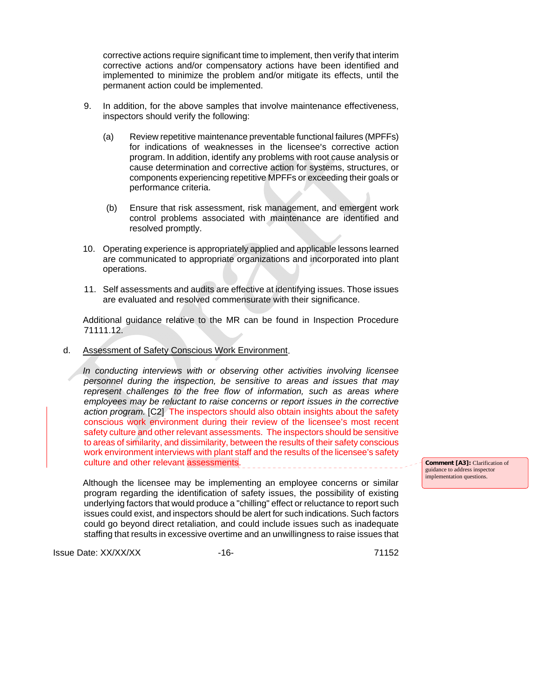corrective actions require significant time to implement, then verify that interim corrective actions and/or compensatory actions have been identified and implemented to minimize the problem and/or mitigate its effects, until the permanent action could be implemented.

- 9. In addition, for the above samples that involve maintenance effectiveness, inspectors should verify the following:
	- (a) Review repetitive maintenance preventable functional failures (MPFFs) for indications of weaknesses in the licensee's corrective action program. In addition, identify any problems with root cause analysis or cause determination and corrective action for systems, structures, or components experiencing repetitive MPFFs or exceeding their goals or performance criteria.
	- (b) Ensure that risk assessment, risk management, and emergent work control problems associated with maintenance are identified and resolved promptly.
- 10. Operating experience is appropriately applied and applicable lessons learned are communicated to appropriate organizations and incorporated into plant operations.
- 11. Self assessments and audits are effective at identifying issues. Those issues are evaluated and resolved commensurate with their significance.

 Additional guidance relative to the MR can be found in Inspection Procedure 71111.12.

d. Assessment of Safety Conscious Work Environment.

 *In conducting interviews with or observing other activities involving licensee personnel during the inspection, be sensitive to areas and issues that may represent challenges to the free flow of information, such as areas where employees may be reluctant to raise concerns or report issues in the corrective action program.* [C2] The inspectors should also obtain insights about the safety conscious work environment during their review of the licensee's most recent safety culture and other relevant assessments. The inspectors should be sensitive to areas of similarity, and dissimilarity, between the results of their safety conscious work environment interviews with plant staff and the results of the licensee's safety culture and other relevant assessments. 

 Although the licensee may be implementing an employee concerns or similar program regarding the identification of safety issues, the possibility of existing underlying factors that would produce a "chilling" effect or reluctance to report such issues could exist, and inspectors should be alert for such indications. Such factors could go beyond direct retaliation, and could include issues such as inadequate staffing that results in excessive overtime and an unwillingness to raise issues that

Issue Date: XX/XX/XX -16- 71152

**Comment [A3]:** Clarification of guidance to address inspector implementation questions.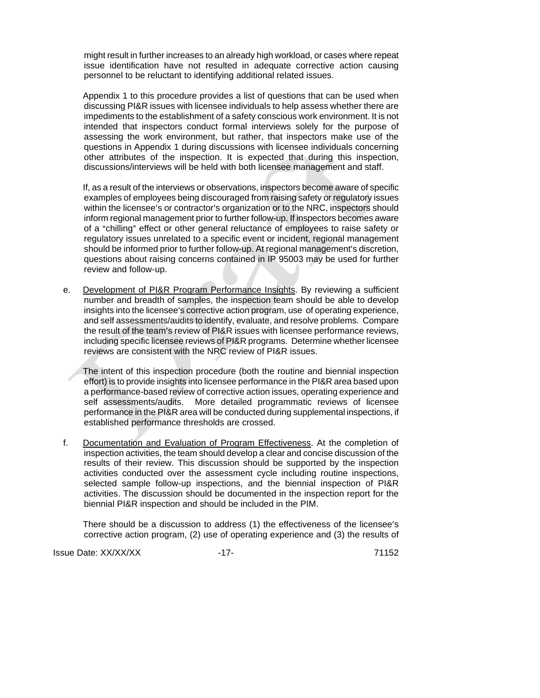might result in further increases to an already high workload, or cases where repeat issue identification have not resulted in adequate corrective action causing personnel to be reluctant to identifying additional related issues.

 Appendix 1 to this procedure provides a list of questions that can be used when discussing PI&R issues with licensee individuals to help assess whether there are impediments to the establishment of a safety conscious work environment. It is not intended that inspectors conduct formal interviews solely for the purpose of assessing the work environment, but rather, that inspectors make use of the questions in Appendix 1 during discussions with licensee individuals concerning other attributes of the inspection. It is expected that during this inspection, discussions/interviews will be held with both licensee management and staff.

 If, as a result of the interviews or observations, inspectors become aware of specific examples of employees being discouraged from raising safety or regulatory issues within the licensee's or contractor's organization or to the NRC, inspectors should inform regional management prior to further follow-up. If inspectors becomes aware of a "chilling" effect or other general reluctance of employees to raise safety or regulatory issues unrelated to a specific event or incident, regional management should be informed prior to further follow-up. At regional management's discretion, questions about raising concerns contained in IP 95003 may be used for further review and follow-up.

 e. Development of PI&R Program Performance Insights. By reviewing a sufficient number and breadth of samples, the inspection team should be able to develop insights into the licensee's corrective action program, use of operating experience, and self assessments/audits to identify, evaluate, and resolve problems. Compare the result of the team's review of PI&R issues with licensee performance reviews, including specific licensee reviews of PI&R programs. Determine whether licensee reviews are consistent with the NRC review of PI&R issues.

 The intent of this inspection procedure (both the routine and biennial inspection effort) is to provide insights into licensee performance in the PI&R area based upon a performance-based review of corrective action issues, operating experience and self assessments/audits. More detailed programmatic reviews of licensee performance in the PI&R area will be conducted during supplemental inspections, if established performance thresholds are crossed.

 f. Documentation and Evaluation of Program Effectiveness. At the completion of inspection activities, the team should develop a clear and concise discussion of the results of their review. This discussion should be supported by the inspection activities conducted over the assessment cycle including routine inspections, selected sample follow-up inspections, and the biennial inspection of PI&R activities. The discussion should be documented in the inspection report for the biennial PI&R inspection and should be included in the PIM.

There should be a discussion to address (1) the effectiveness of the licensee's corrective action program, (2) use of operating experience and (3) the results of

Issue Date: XX/XX/XX -17- 71152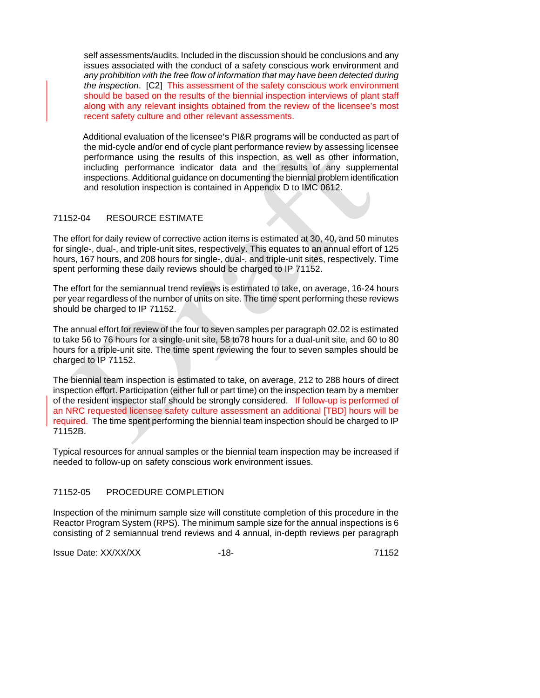self assessments/audits. Included in the discussion should be conclusions and any issues associated with the conduct of a safety conscious work environment and *any prohibition with the free flow of information that may have been detected during the inspection*. [C2] This assessment of the safety conscious work environment should be based on the results of the biennial inspection interviews of plant staff along with any relevant insights obtained from the review of the licensee's most recent safety culture and other relevant assessments.

Additional evaluation of the licensee's PI&R programs will be conducted as part of the mid-cycle and/or end of cycle plant performance review by assessing licensee performance using the results of this inspection, as well as other information, including performance indicator data and the results of any supplemental inspections. Additional guidance on documenting the biennial problem identification and resolution inspection is contained in Appendix D to IMC 0612.

# 71152-04 RESOURCE ESTIMATE

The effort for daily review of corrective action items is estimated at 30, 40, and 50 minutes for single-, dual-, and triple-unit sites, respectively. This equates to an annual effort of 125 hours, 167 hours, and 208 hours for single-, dual-, and triple-unit sites, respectively. Time spent performing these daily reviews should be charged to IP 71152.

The effort for the semiannual trend reviews is estimated to take, on average, 16-24 hours per year regardless of the number of units on site. The time spent performing these reviews should be charged to IP 71152.

The annual effort for review of the four to seven samples per paragraph 02.02 is estimated to take 56 to 76 hours for a single-unit site, 58 to78 hours for a dual-unit site, and 60 to 80 hours for a triple-unit site. The time spent reviewing the four to seven samples should be charged to IP 71152.

The biennial team inspection is estimated to take, on average, 212 to 288 hours of direct inspection effort. Participation (either full or part time) on the inspection team by a member of the resident inspector staff should be strongly considered. If follow-up is performed of an NRC requested licensee safety culture assessment an additional [TBD] hours will be required. The time spent performing the biennial team inspection should be charged to IP 71152B.

Typical resources for annual samples or the biennial team inspection may be increased if needed to follow-up on safety conscious work environment issues.

# 71152-05 PROCEDURE COMPLETION

Inspection of the minimum sample size will constitute completion of this procedure in the Reactor Program System (RPS). The minimum sample size for the annual inspections is 6 consisting of 2 semiannual trend reviews and 4 annual, in-depth reviews per paragraph

Issue Date: XX/XX/XX -18- 71152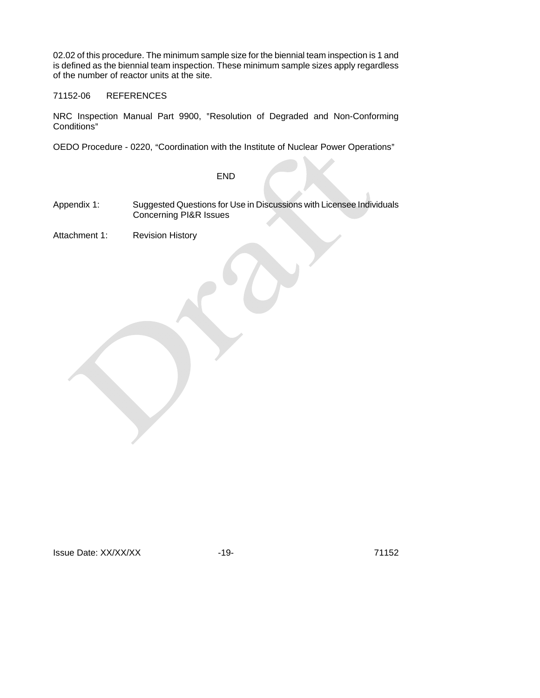02.02 of this procedure. The minimum sample size for the biennial team inspection is 1 and is defined as the biennial team inspection. These minimum sample sizes apply regardless of the number of reactor units at the site.

#### 71152-06 REFERENCES

NRC Inspection Manual Part 9900, "Resolution of Degraded and Non-Conforming Conditions"

OEDO Procedure - 0220, "Coordination with the Institute of Nuclear Power Operations"

# END

- Appendix 1: Suggested Questions for Use in Discussions with Licensee Individuals Concerning PI&R Issues
- Attachment 1: Revision History

Issue Date: XX/XX/XX -19- 71152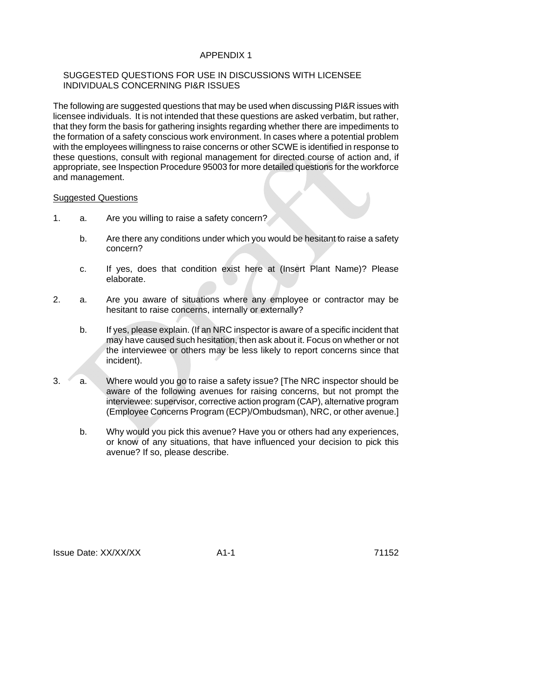# APPENDIX 1

# SUGGESTED QUESTIONS FOR USE IN DISCUSSIONS WITH LICENSEE INDIVIDUALS CONCERNING PI&R ISSUES

The following are suggested questions that may be used when discussing PI&R issues with licensee individuals. It is not intended that these questions are asked verbatim, but rather, that they form the basis for gathering insights regarding whether there are impediments to the formation of a safety conscious work environment. In cases where a potential problem with the employees willingness to raise concerns or other SCWE is identified in response to these questions, consult with regional management for directed course of action and, if appropriate, see Inspection Procedure 95003 for more detailed questions for the workforce and management.

#### Suggested Questions

- 1. a. Are you willing to raise a safety concern?
	- b. Are there any conditions under which you would be hesitant to raise a safety concern?
	- c. If yes, does that condition exist here at (Insert Plant Name)? Please elaborate.
- 2. a. Are you aware of situations where any employee or contractor may be hesitant to raise concerns, internally or externally?
	- b. If yes, please explain. (If an NRC inspector is aware of a specific incident that may have caused such hesitation, then ask about it. Focus on whether or not the interviewee or others may be less likely to report concerns since that incident).
- 3. a. Where would you go to raise a safety issue? [The NRC inspector should be aware of the following avenues for raising concerns, but not prompt the interviewee: supervisor, corrective action program (CAP), alternative program (Employee Concerns Program (ECP)/Ombudsman), NRC, or other avenue.]
	- b. Why would you pick this avenue? Have you or others had any experiences, or know of any situations, that have influenced your decision to pick this avenue? If so, please describe.

Issue Date: XX/XX/XX A1-1 71152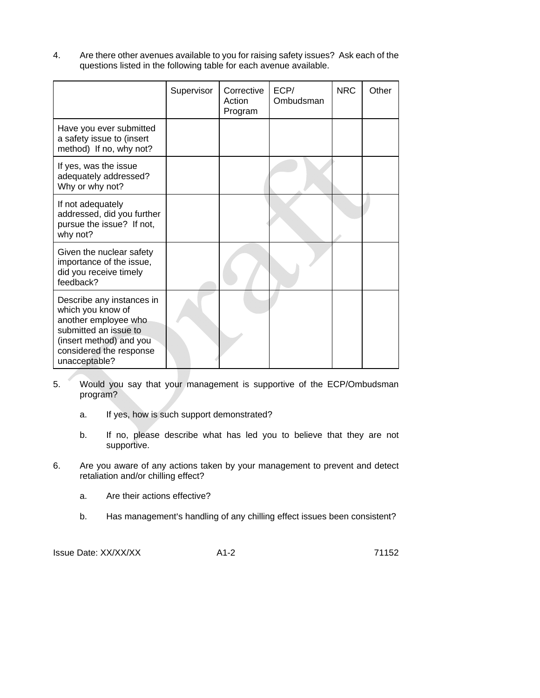4. Are there other avenues available to you for raising safety issues? Ask each of the questions listed in the following table for each avenue available.

|                                                                                                                                                                        | Supervisor | Corrective<br>Action<br>Program | ECP/<br>Ombudsman | <b>NRC</b> | Other |
|------------------------------------------------------------------------------------------------------------------------------------------------------------------------|------------|---------------------------------|-------------------|------------|-------|
| Have you ever submitted<br>a safety issue to (insert<br>method) If no, why not?                                                                                        |            |                                 |                   |            |       |
| If yes, was the issue<br>adequately addressed?<br>Why or why not?                                                                                                      |            |                                 |                   |            |       |
| If not adequately<br>addressed, did you further<br>pursue the issue? If not,<br>why not?                                                                               |            |                                 |                   |            |       |
| Given the nuclear safety<br>importance of the issue,<br>did you receive timely<br>feedback?                                                                            |            |                                 |                   |            |       |
| Describe any instances in<br>which you know of<br>another employee who<br>submitted an issue to<br>(insert method) and you<br>considered the response<br>unacceptable? |            |                                 |                   |            |       |

- 5. Would you say that your management is supportive of the ECP/Ombudsman program?
	- a. If yes, how is such support demonstrated?
	- b. If no, please describe what has led you to believe that they are not supportive.
- 6. Are you aware of any actions taken by your management to prevent and detect retaliation and/or chilling effect?
	- a. Are their actions effective?
	- b. Has management's handling of any chilling effect issues been consistent?

Issue Date: XX/XX/XX A1-2 A1-2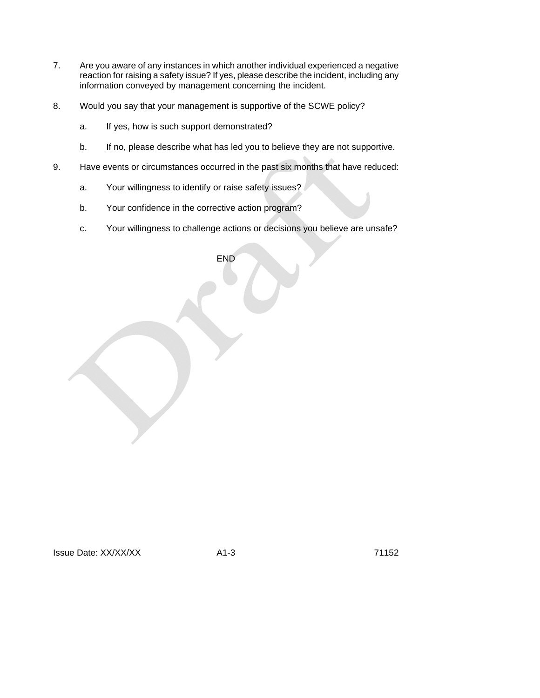- 7. Are you aware of any instances in which another individual experienced a negative reaction for raising a safety issue? If yes, please describe the incident, including any information conveyed by management concerning the incident.
- 8. Would you say that your management is supportive of the SCWE policy?
	- a. If yes, how is such support demonstrated?
	- b. If no, please describe what has led you to believe they are not supportive.
- 9. Have events or circumstances occurred in the past six months that have reduced:
	- a. Your willingness to identify or raise safety issues?
	- b. Your confidence in the corrective action program?
	- c. Your willingness to challenge actions or decisions you believe are unsafe?

END

Issue Date: XX/XX/XX A1-3 A1-3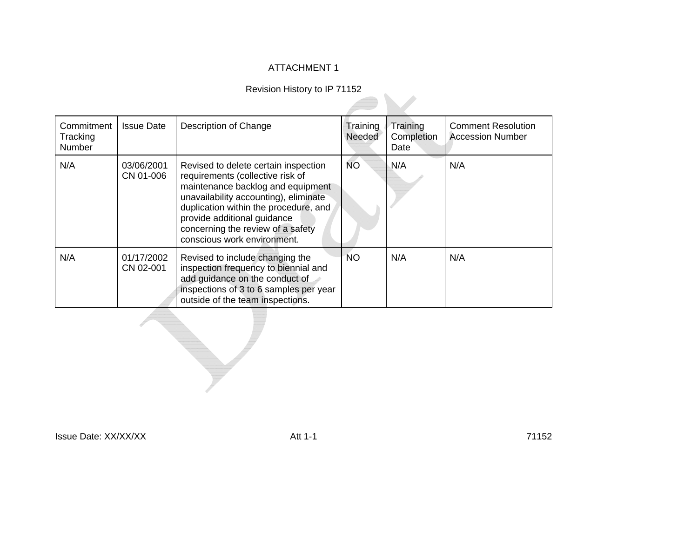# ATTACHMENT 1

# Revision History to IP 71152

| Commitment<br>Tracking<br><b>Number</b> | <b>Issue Date</b>       | Description of Change                                                                                                                                                                                                                                                                              | Training<br>Needed | Training<br>Completion<br>Date | <b>Comment Resolution</b><br><b>Accession Number</b> |
|-----------------------------------------|-------------------------|----------------------------------------------------------------------------------------------------------------------------------------------------------------------------------------------------------------------------------------------------------------------------------------------------|--------------------|--------------------------------|------------------------------------------------------|
| N/A                                     | 03/06/2001<br>CN 01-006 | Revised to delete certain inspection<br>requirements (collective risk of<br>maintenance backlog and equipment<br>unavailability accounting), eliminate<br>duplication within the procedure, and<br>provide additional guidance<br>concerning the review of a safety<br>conscious work environment. | <b>NO</b>          | N/A                            | N/A                                                  |
| N/A                                     | 01/17/2002<br>CN 02-001 | Revised to include changing the<br>inspection frequency to biennial and<br>add guidance on the conduct of<br>inspections of 3 to 6 samples per year<br>outside of the team inspections.                                                                                                            | <b>NO</b>          | N/A                            | N/A                                                  |

Issue Date: XX/XX/XX Att 1-1

71152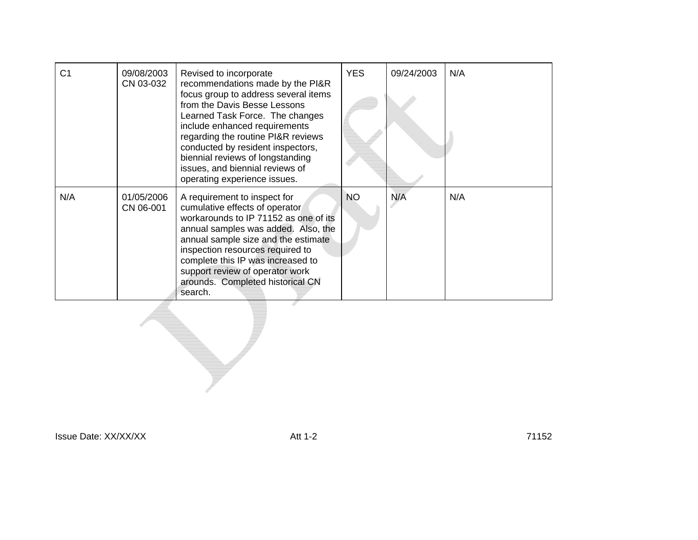| C <sub>1</sub> | 09/08/2003<br>CN 03-032 | Revised to incorporate<br>recommendations made by the PI&R<br>focus group to address several items<br>from the Davis Besse Lessons<br>Learned Task Force. The changes<br>include enhanced requirements<br>regarding the routine PI&R reviews<br>conducted by resident inspectors,<br>biennial reviews of longstanding<br>issues, and biennial reviews of<br>operating experience issues. | <b>YES</b> | 09/24/2003 | N/A |
|----------------|-------------------------|------------------------------------------------------------------------------------------------------------------------------------------------------------------------------------------------------------------------------------------------------------------------------------------------------------------------------------------------------------------------------------------|------------|------------|-----|
| N/A            | 01/05/2006<br>CN 06-001 | A requirement to inspect for<br>cumulative effects of operator<br>workarounds to IP 71152 as one of its<br>annual samples was added. Also, the<br>annual sample size and the estimate<br>inspection resources required to<br>complete this IP was increased to<br>support review of operator work<br>arounds. Completed historical CN<br>search.                                         | <b>NO</b>  | N/A        | N/A |